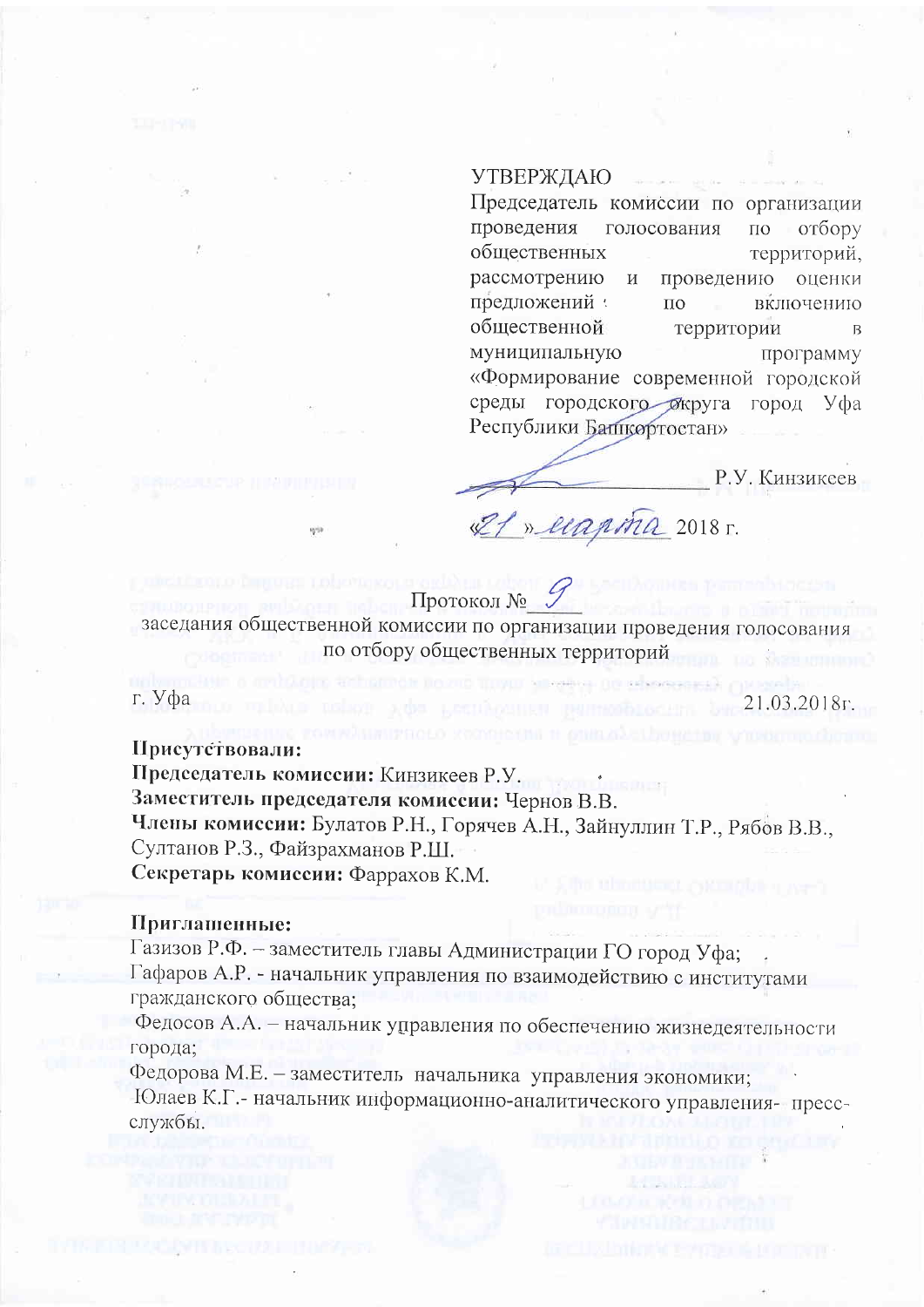## УТВЕРЖДАЮ

Председатель комиссии по организации проведения голосования  $\Box$ отбору обшественных территорий, рассмотрению  $\mathbf M$ проведению оценки предложений :  $\overline{a}$ включению общественной территории  $\overline{B}$ муниципальную программу «Формирование современной городской среды городского бкруга город Уфа Республики Бапцортостан»

Р.У. Кинзиксев

21.03.2018<sub>F</sub>.

If » ecapiña 2018 r.

Протокол № заседания общественной комиссии по организации проведения голосования по отбору общественных территорий

to enfinancie no zno misur la sedeca ne relasse

г. Уфа

Присутствовали:

Председатель комиссии: Кинзикеев Р.У. Заместитель председателя комиссии: Чернов В.В. Члены комиссии: Булатов Р.Н., Горячев А.Н., Зайнуллин Т.Р., Рябов В.В., Султанов Р.З., Файзрахманов Р.Ш. Секретарь комиссии: Фаррахов К.М.

## Приглашенные:

Газизов Р.Ф. - заместитель главы Администрации ГО город Уфа; Гафаров А.Р. - начальник управления по взаимодействию с институтами гражданского общества;

Федосов А.А. - начальник управления по обеспечению жизнедеятельности города;

Федорова М.Е. - заместитель начальника управления экономики; Юлаев К.Г.- начальник информационно-аналитического управления-прессслужбы.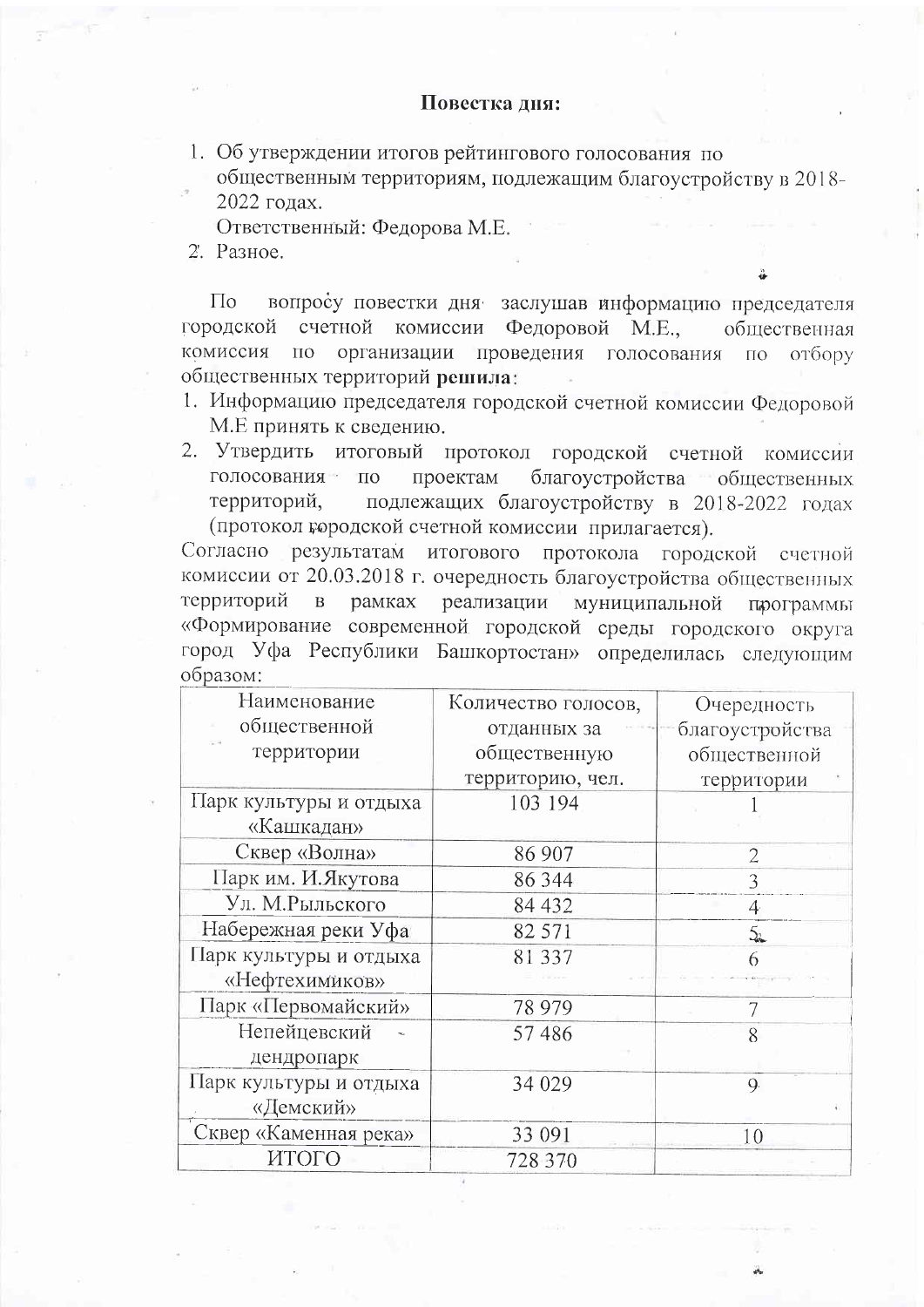## Повестка дня:

1. Об утверждении итогов рейтингового голосования по общественным территориям, подлежащим благоустройству в 2018-2022 голах.

Ответственный: Федорова М.Е.

2. Разное.

вопросу повестки дня заслушав информацию председателя  $\Pi$ o городской счетной комиссии Федоровой М.Е., общественная организации проведения голосования комиссия по  $\overline{110}$ отбору общественных территорий решила:

- 1. Информацию председателя городской счетной комиссии Федоровой М.Е принять к сведению.
- 2. Утвердить итоговый протокол городской счетной комиссии голосования по благоустройства общественных проектам подлежащих благоустройству в 2018-2022 годах территорий, (протокол городской счетной комиссии прилагается).

Согласно результатам итогового протокола городской счетной комиссии от 20.03.2018 г. очередность благоустройства общественных реализации территорий  $\, {\bf B}$ рамках муниципальной программы «Формирование современной городской среды городского округа город Уфа Республики Башкортостан» определилась следующим образом:

| Наименование           | Количество голосов, | Очередность     |
|------------------------|---------------------|-----------------|
| общественной           | отданных за         | благоустройства |
| территории             | общественную        | общественной    |
|                        | территорию, чел.    | территории      |
| Парк культуры и отдыха | 103 194             |                 |
| «Кашкадан»             |                     |                 |
| Сквер «Волна»          | 86 907              | $\overline{2}$  |
| Парк им. И. Якутова    | 86 344              | 3               |
| Ул. М.Рыльского        | 84 432              | $\overline{4}$  |
| Набережная реки Уфа    | 82 571              | 5.              |
| Парк культуры и отдыха | 81337               | 6               |
| «Нефтехимиков»         |                     |                 |
| Парк «Первомайский»    | 78 979              |                 |
| Непейцевский           | 57486               | 8               |
| дендропарк             |                     |                 |
| Парк культуры и отдыха | 34 029              | 9               |
| «Демский»              |                     |                 |
| Сквер «Каменная река»  | 33 091              | 10              |
| ИТОГО                  | 728 370             |                 |